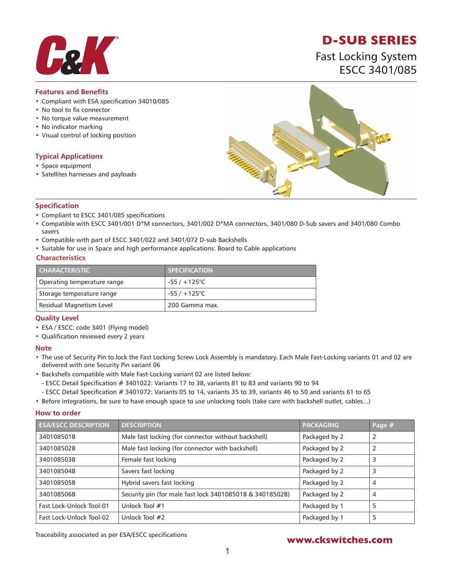

# **D-SUB SERIES**

Fast Locking System ESCC 3401/085

### **Features and Benefits**

- Compliant with ESA specification 34010/085
- No tool to fix connector
- No torque value measurement
- No indicator marking
- Visual control of locking position

### **Typical Applications**

- Space equipment
- Satellites harnesses and payloads



### **Specification**

- Compliant to ESCC 3401/085 specifications
- Compatible with ESCC 3401/001 D\*M connectors, 3401/002 D\*MA connectors, 3401/080 D-Sub savers and 3401/080 Combo savers
- Compatible with part of ESCC 3401/022 and 3401/072 D-sub Backshells
- Suitable for use in Space and high performance applications: Board to Cable applications

#### **Characteristics**

| <b>CHARACTERISTIC</b>       | <b>SPECIFICATION</b>   |
|-----------------------------|------------------------|
| Operating temperature range | $-55/ + 125^{\circ}$ C |
| Storage temperature range   | $-55/ + 125^{\circ}$ C |
| Residual Magnetism Level    | 200 Gamma max.         |

### **Quality Level**

- ESA / ESCC: code 3401 (Flying model)
- Qualification reviewed every 2 years

#### **Note**

- The use of Security Pin to lock the Fast Locking Screw Lock Assembly is mandatory. Each Male Fast-Locking variants 01 and 02 are delivered with one Security Pin variant 06
- Backshells compatible with Male Fast-Locking variant 02 are listed below:
	- ESCC Detail Specification # 3401022: Variants 17 to 38, variants 81 to 83 and variants 90 to 94
	- ESCC Detail Specification # 3401072: Variants 05 to 14, variants 35 to 39, variants 46 to 50 and variants 61 to 65
- Before integrations, be sure to have enough space to use unlocking tools (take care with backshell outlet, cables...)

#### **How to order**

| <b>ESA/ESCC DESCRIPTION</b> | <b>DESCRIPTION</b>                                       | <b>PACKAGING</b> | Page # |
|-----------------------------|----------------------------------------------------------|------------------|--------|
| 340108501B                  | Male fast locking (for connector without backshell)      | Packaged by 2    | 2      |
| 340108502B                  | Male fast locking (for connector with backshell)         | Packaged by 2    | 2      |
| 340108503B                  | Female fast locking                                      | Packaged by 2    | 3      |
| 340108504B                  | Savers fast locking                                      | Packaged by 2    | 3      |
| 340108505B                  | Hybrid savers fast locking                               | Packaged by 2    | 4      |
| 340108506B                  | Security pin (for male fast lock 340108501B & 34018502B) | Packaged by 2    | 4      |
| Fast Lock-Unlock Tool-01    | Unlock Tool #1                                           | Packaged by 1    | 5      |
| Fast Lock-Unlock Tool-02    | Unlock Tool #2                                           | Packaged by 1    | 5      |

Traceability associated as per ESA/ESCC specifications **www.ckswitches.com**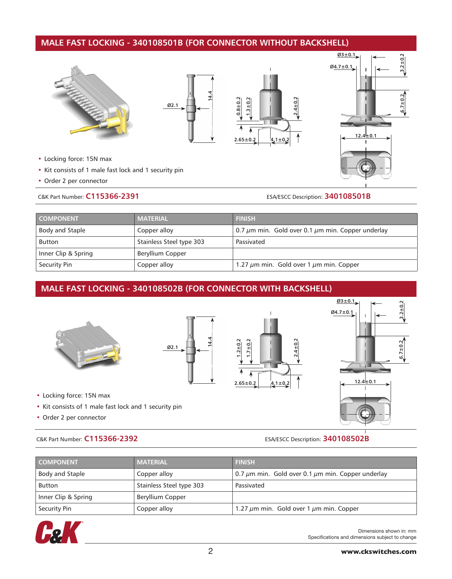## **MALE FAST LOCKING - 340108501B (FOR CONNECTOR WITHOUT BACKSHELL)**









- Locking force: 15N max
- Kit consists of 1 male fast lock and 1 security pin
- Order 2 per connector

C&K Part Number: **C115366-2391** ESA/ESCC Description: **340108501B**

| <b>COMPONENT</b>    | <b>MATERIAL</b>          | <b>FINISH</b>                                               |
|---------------------|--------------------------|-------------------------------------------------------------|
| Body and Staple     | Copper alloy             | 0.7 $\mu$ m min. Gold over 0.1 $\mu$ m min. Copper underlay |
| <b>Button</b>       | Stainless Steel type 303 | Passivated                                                  |
| Inner Clip & Spring | Beryllium Copper         |                                                             |
| Security Pin        | Copper alloy             | 1.27 $\mu$ m min. Gold over 1 $\mu$ m min. Copper           |

## **MALE FAST LOCKING - 340108502B (FOR CONNECTOR WITH BACKSHELL)**







- Locking force: 15N max
- Kit consists of 1 male fast lock and 1 security pin
- Order 2 per connector

C&K Part Number: **C115366-2392** ESA/ESCC Description: **340108502B**

**2.4±0.2**

| <b>COMPONENT</b>    | <b>MATERIAL</b>          | <b>FINISH</b>                                               |
|---------------------|--------------------------|-------------------------------------------------------------|
| Body and Staple     | Copper alloy             | 0.7 $\mu$ m min. Gold over 0.1 $\mu$ m min. Copper underlay |
| <b>Button</b>       | Stainless Steel type 303 | Passivated                                                  |
| Inner Clip & Spring | Beryllium Copper         |                                                             |
| Security Pin        | Copper alloy             | 1.27 $\mu$ m min. Gold over 1 $\mu$ m min. Copper           |



Dimensions shown in: mm Specifications and dimensions subject to change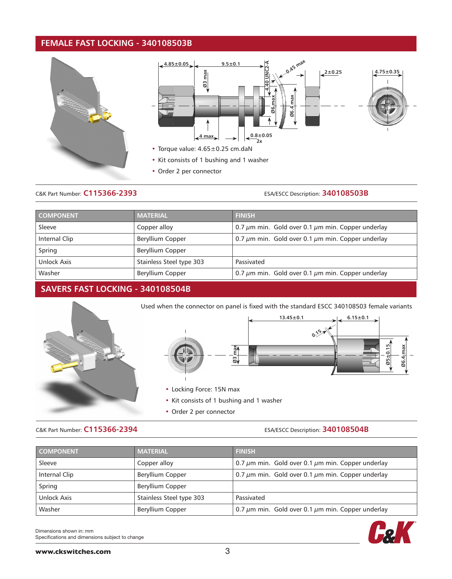## **FEMALE FAST LOCKING - 340108503B**





- Kit consists of 1 bushing and 1 washer
- Order 2 per connector

## C&K Part Number: **C115366-2393** ESA/ESCC Description: **340108503B**

| <b>COMPONENT</b> | <b>MATERIAL</b>          | <b>FINISH</b>                                               |
|------------------|--------------------------|-------------------------------------------------------------|
| Sleeve           | Copper alloy             | 0.7 $\mu$ m min. Gold over 0.1 $\mu$ m min. Copper underlay |
| Internal Clip    | <b>Beryllium Copper</b>  | 0.7 $\mu$ m min. Gold over 0.1 $\mu$ m min. Copper underlay |
| Spring           | <b>Beryllium Copper</b>  |                                                             |
| Unlock Axis      | Stainless Steel type 303 | Passivated                                                  |
| Washer           | Beryllium Copper         | 0.7 $\mu$ m min. Gold over 0.1 $\mu$ m min. Copper underlay |

## **SAVERS FAST LOCKING - 340108504B**



Used when the connector on panel is fixed with the standard ESCC 340108503 female variants



- Locking Force: 15N max
- Kit consists of 1 bushing and 1 washer
- Order 2 per connector

### C&K Part Number: **C115366-2394** ESA/ESCC Description: **340108504B**

**Cak** 

| <b>COMPONENT</b> | <b>MATERIAL</b>          | <b>FINISH</b>                                               |
|------------------|--------------------------|-------------------------------------------------------------|
| Sleeve           | Copper alloy             | 0.7 $\mu$ m min. Gold over 0.1 $\mu$ m min. Copper underlay |
| Internal Clip    | Beryllium Copper         | 0.7 $\mu$ m min. Gold over 0.1 $\mu$ m min. Copper underlay |
| Spring           | Beryllium Copper         |                                                             |
| Unlock Axis      | Stainless Steel type 303 | Passivated                                                  |
| Washer           | Beryllium Copper         | 0.7 $\mu$ m min. Gold over 0.1 $\mu$ m min. Copper underlay |

Dimensions shown in: mm Specifications and dimensions subject to change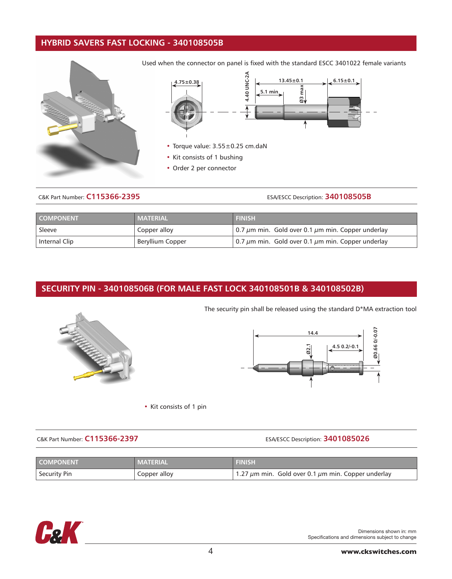## **HYBRID SAVERS FAST LOCKING - 340108505B**



Used when the connector on panel is fixed with the standard ESCC 3401022 female variants



- Torque value: 3.55±0.25 cm.daN
- Kit consists of 1 bushing
- Order 2 per connector

## C&K Part Number: **C115366-2395** ESA/ESCC Description: **340108505B**

| <b>COMPONENT</b> | <b>MATERIAL</b>  | <b>FINISH</b>                                               |
|------------------|------------------|-------------------------------------------------------------|
| Sleeve           | Copper alloy     | 0.7 $\mu$ m min. Gold over 0.1 $\mu$ m min. Copper underlay |
| Internal Clip    | Beryllium Copper | 0.7 $\mu$ m min. Gold over 0.1 $\mu$ m min. Copper underlay |

## **SECURITY PIN - 340108506B (FOR MALE FAST LOCK 340108501B & 340108502B)**







• Kit consists of 1 pin

C&K Part Number: **C115366-2397** ESA/ESCC Description: **3401085026**

| <b>LCOMPONENT</b>   | 'MATERIAL    | FINISH                                                       |
|---------------------|--------------|--------------------------------------------------------------|
| <b>Security Pin</b> | Copper alloy | 1.27 $\mu$ m min. Gold over 0.1 $\mu$ m min. Copper underlay |



Dimensions shown in: mm Specifications and dimensions subject to change